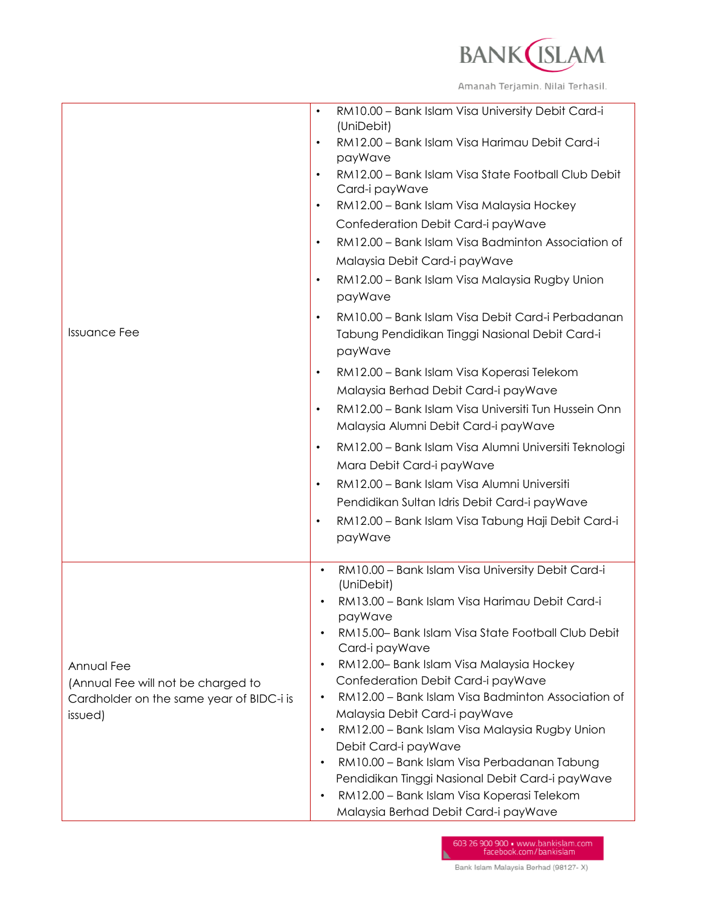

| <b>Issuance Fee</b>                                                                                     | RM10.00 - Bank Islam Visa University Debit Card-i<br>$\bullet$<br>(UniDebit)<br>RM12.00 - Bank Islam Visa Harimau Debit Card-i<br>$\bullet$<br>payWave<br>RM12.00 - Bank Islam Visa State Football Club Debit<br>$\bullet$<br>Card-i payWave<br>RM12.00 - Bank Islam Visa Malaysia Hockey<br>$\bullet$<br>Confederation Debit Card-i payWave<br>RM12.00 - Bank Islam Visa Badminton Association of<br>$\bullet$<br>Malaysia Debit Card-i payWave<br>RM12.00 - Bank Islam Visa Malaysia Rugby Union<br>٠<br>payWave<br>RM10.00 - Bank Islam Visa Debit Card-i Perbadanan<br>$\bullet$<br>Tabung Pendidikan Tinggi Nasional Debit Card-i<br>payWave<br>RM12.00 - Bank Islam Visa Koperasi Telekom<br>$\bullet$<br>Malaysia Berhad Debit Card-i payWave<br>RM12.00 - Bank Islam Visa Universiti Tun Hussein Onn<br>$\bullet$<br>Malaysia Alumni Debit Card-i payWave<br>RM12.00 - Bank Islam Visa Alumni Universiti Teknologi<br>$\bullet$<br>Mara Debit Card-i payWave<br>RM12.00 - Bank Islam Visa Alumni Universiti<br>$\bullet$<br>Pendidikan Sultan Idris Debit Card-i payWave<br>RM12.00 - Bank Islam Visa Tabung Haji Debit Card-i<br>$\bullet$<br>payWave |
|---------------------------------------------------------------------------------------------------------|----------------------------------------------------------------------------------------------------------------------------------------------------------------------------------------------------------------------------------------------------------------------------------------------------------------------------------------------------------------------------------------------------------------------------------------------------------------------------------------------------------------------------------------------------------------------------------------------------------------------------------------------------------------------------------------------------------------------------------------------------------------------------------------------------------------------------------------------------------------------------------------------------------------------------------------------------------------------------------------------------------------------------------------------------------------------------------------------------------------------------------------------------------------|
| Annual Fee<br>(Annual Fee will not be charged to<br>Cardholder on the same year of BIDC-i is<br>issued) | RM10.00 - Bank Islam Visa University Debit Card-i<br>$\bullet$<br>(UniDebit)<br>RM13.00 - Bank Islam Visa Harimau Debit Card-i<br>payWave<br>RM15.00- Bank Islam Visa State Football Club Debit<br>Card-i payWave<br>RM12.00- Bank Islam Visa Malaysia Hockey<br>Confederation Debit Card-i payWave<br>RM12.00 - Bank Islam Visa Badminton Association of<br>Malaysia Debit Card-i payWave<br>RM12.00 - Bank Islam Visa Malaysia Rugby Union<br>$\bullet$<br>Debit Card-i payWave<br>RM10.00 - Bank Islam Visa Perbadanan Tabung<br>Pendidikan Tinggi Nasional Debit Card-i payWave<br>RM12.00 - Bank Islam Visa Koperasi Telekom<br>Malaysia Berhad Debit Card-i payWave                                                                                                                                                                                                                                                                                                                                                                                                                                                                                      |

603 26 900 900 • www.bankislam.com<br>facebook.com/bankislam Bank Islam Malaysia Berhad (98127-X)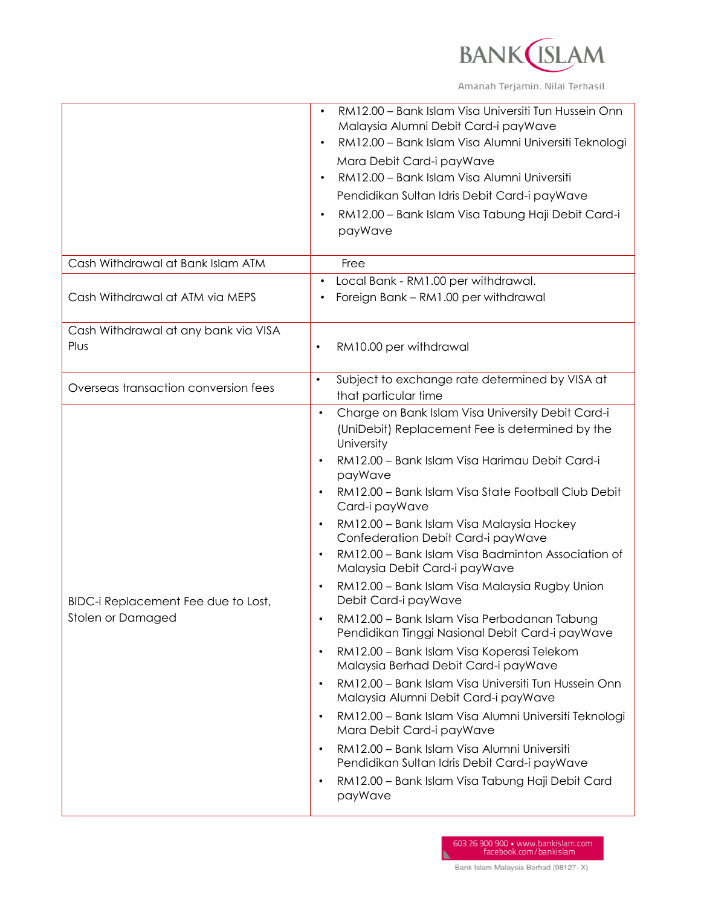

Amanah Terjamin. Nilai Terhasil.

| Cash Withdrawal at Bank Islam ATM                        | RM12.00 - Bank Islam Visa Universiti Tun Hussein Onn<br>Malaysia Alumni Debit Card-i payWave<br>RM12.00 - Bank Islam Visa Alumni Universiti Teknologi<br>Mara Debit Card-i payWave<br>RM12.00 - Bank Islam Visa Alumni Universiti<br>Pendidikan Sultan Idris Debit Card-i payWave<br>RM12.00 - Bank Islam Visa Tabung Haji Debit Card-i<br>payWave<br>Free                                                                                                                                                                                                                                                                                                                                                                                                                                                                                                                                                                                                                                                                                                                                                                             |
|----------------------------------------------------------|----------------------------------------------------------------------------------------------------------------------------------------------------------------------------------------------------------------------------------------------------------------------------------------------------------------------------------------------------------------------------------------------------------------------------------------------------------------------------------------------------------------------------------------------------------------------------------------------------------------------------------------------------------------------------------------------------------------------------------------------------------------------------------------------------------------------------------------------------------------------------------------------------------------------------------------------------------------------------------------------------------------------------------------------------------------------------------------------------------------------------------------|
| Cash Withdrawal at ATM via MEPS                          | Local Bank - RM1.00 per withdrawal.<br>Foreign Bank - RM1.00 per withdrawal                                                                                                                                                                                                                                                                                                                                                                                                                                                                                                                                                                                                                                                                                                                                                                                                                                                                                                                                                                                                                                                            |
| Cash Withdrawal at any bank via VISA<br>Plus             | RM10.00 per withdrawal<br>٠                                                                                                                                                                                                                                                                                                                                                                                                                                                                                                                                                                                                                                                                                                                                                                                                                                                                                                                                                                                                                                                                                                            |
| Overseas transaction conversion fees                     | Subject to exchange rate determined by VISA at<br>$\bullet$<br>that particular time                                                                                                                                                                                                                                                                                                                                                                                                                                                                                                                                                                                                                                                                                                                                                                                                                                                                                                                                                                                                                                                    |
| BIDC-i Replacement Fee due to Lost,<br>Stolen or Damaged | Charge on Bank Islam Visa University Debit Card-i<br>$\bullet$<br>(UniDebit) Replacement Fee is determined by the<br>University<br>RM12.00 - Bank Islam Visa Harimau Debit Card-i<br>payWave<br>RM12.00 - Bank Islam Visa State Football Club Debit<br>Card-i payWave<br>RM12.00 - Bank Islam Visa Malaysia Hockey<br>Confederation Debit Card-i payWave<br>RM12.00 - Bank Islam Visa Badminton Association of<br>$\bullet$<br>Malaysia Debit Card-i payWave<br>RM12.00 - Bank Islam Visa Malaysia Rugby Union<br>Debit Card-i payWave<br>RM12.00 - Bank Islam Visa Perbadanan Tabung<br>Pendidikan Tinggi Nasional Debit Card-i payWave<br>RM12.00 - Bank Islam Visa Koperasi Telekom<br>$\bullet$<br>Malaysia Berhad Debit Card-i payWave<br>RM12.00 - Bank Islam Visa Universiti Tun Hussein Onn<br>$\bullet$<br>Malaysia Alumni Debit Card-i payWave<br>RM12.00 - Bank Islam Visa Alumni Universiti Teknologi<br>Mara Debit Card-i payWave<br>RM12.00 - Bank Islam Visa Alumni Universiti<br>$\bullet$<br>Pendidikan Sultan Idris Debit Card-i payWave<br>RM12.00 - Bank Islam Visa Tabung Haji Debit Card<br>$\bullet$<br>payWave |